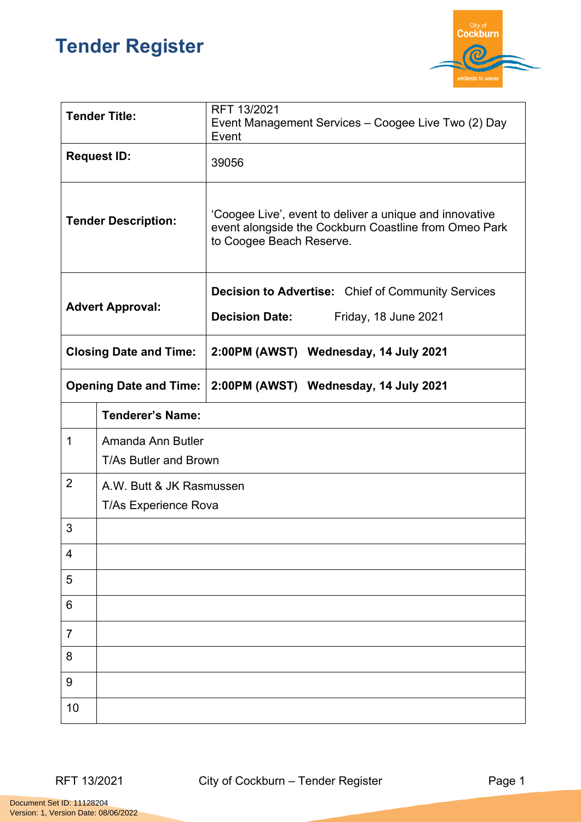## **Tender Register**



| <b>Tender Title:</b>          |                                                   | RFT 13/2021<br>Event Management Services - Coogee Live Two (2) Day<br>Event                                                                  |  |
|-------------------------------|---------------------------------------------------|----------------------------------------------------------------------------------------------------------------------------------------------|--|
| <b>Request ID:</b>            |                                                   | 39056                                                                                                                                        |  |
| <b>Tender Description:</b>    |                                                   | 'Coogee Live', event to deliver a unique and innovative<br>event alongside the Cockburn Coastline from Omeo Park<br>to Coogee Beach Reserve. |  |
| <b>Advert Approval:</b>       |                                                   | <b>Decision to Advertise:</b> Chief of Community Services                                                                                    |  |
|                               |                                                   | <b>Decision Date:</b><br>Friday, 18 June 2021                                                                                                |  |
| <b>Closing Date and Time:</b> |                                                   | 2:00PM (AWST) Wednesday, 14 July 2021                                                                                                        |  |
| <b>Opening Date and Time:</b> |                                                   | 2:00PM (AWST) Wednesday, 14 July 2021                                                                                                        |  |
|                               | <b>Tenderer's Name:</b>                           |                                                                                                                                              |  |
| 1                             | Amanda Ann Butler<br><b>T/As Butler and Brown</b> |                                                                                                                                              |  |
| $\overline{2}$                | A.W. Butt & JK Rasmussen<br>T/As Experience Rova  |                                                                                                                                              |  |
| 3                             |                                                   |                                                                                                                                              |  |
| 4                             |                                                   |                                                                                                                                              |  |
| 5                             |                                                   |                                                                                                                                              |  |
| 6                             |                                                   |                                                                                                                                              |  |
| $\overline{7}$                |                                                   |                                                                                                                                              |  |
| 8                             |                                                   |                                                                                                                                              |  |
| 9                             |                                                   |                                                                                                                                              |  |
| 10                            |                                                   |                                                                                                                                              |  |